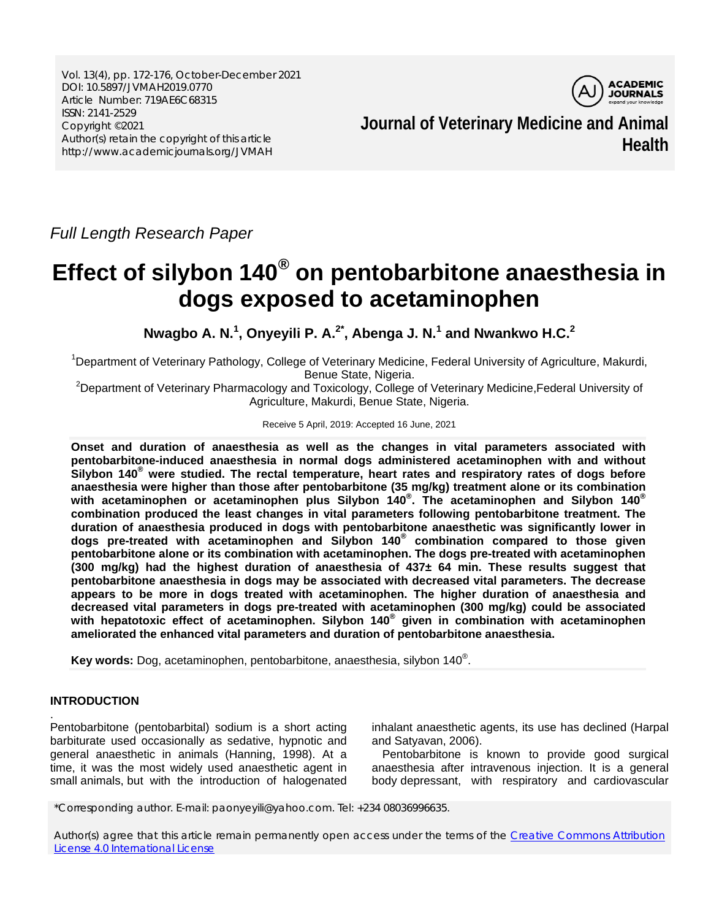Vol. 13(4), pp. 172-176, October-December 2021 DOI: 10.5897/JVMAH2019.0770 Article Number: 719AE6C68315 ISSN: 2141-2529 Copyright ©2021 Author(s) retain the copyright of this article http://www.academicjournals.org/JVMAH



**Journal of Veterinary Medicine and Animal Health**

*Full Length Research Paper*

# **Effect of silybon 140® on pentobarbitone anaesthesia in dogs exposed to acetaminophen**

**Nwagbo A. N.<sup>1</sup> , Onyeyili P. A.2\* , Abenga J. N.<sup>1</sup> and Nwankwo H.C.<sup>2</sup>**

<sup>1</sup>Department of Veterinary Pathology, College of Veterinary Medicine, Federal University of Agriculture, Makurdi,

Benue State, Nigeria.<br>Department of Veterinary Pharmacology and Toxicology, College of Veterinary Medicine,Federal University of <sup>2</sup> Agriculture, Makurdi, Benue State, Nigeria.

#### Receive 5 April, 2019: Accepted 16 June, 2021

**Onset and duration of anaesthesia as well as the changes in vital parameters associated with pentobarbitone-induced anaesthesia in normal dogs administered acetaminophen with and without Silybon 140® were studied. The rectal temperature, heart rates and respiratory rates of dogs before anaesthesia were higher than those after pentobarbitone (35 mg/kg) treatment alone or its combination with acetaminophen or acetaminophen plus Silybon 140® . The acetaminophen and Silybon 140® combination produced the least changes in vital parameters following pentobarbitone treatment. The duration of anaesthesia produced in dogs with pentobarbitone anaesthetic was significantly lower in dogs pre-treated with acetaminophen and Silybon 140® combination compared to those given pentobarbitone alone or its combination with acetaminophen. The dogs pre-treated with acetaminophen (300 mg/kg) had the highest duration of anaesthesia of 437± 64 min. These results suggest that pentobarbitone anaesthesia in dogs may be associated with decreased vital parameters. The decrease appears to be more in dogs treated with acetaminophen. The higher duration of anaesthesia and decreased vital parameters in dogs pre-treated with acetaminophen (300 mg/kg) could be associated with hepatotoxic effect of acetaminophen. Silybon 140® given in combination with acetaminophen ameliorated the enhanced vital parameters and duration of pentobarbitone anaesthesia.** 

**Key words:** Dog, acetaminophen, pentobarbitone, anaesthesia, silybon 140® .

# **INTRODUCTION**

.

Pentobarbitone (pentobarbital) sodium is a short acting barbiturate used occasionally as sedative, hypnotic and general anaesthetic in animals (Hanning, 1998). At a time, it was the most widely used anaesthetic agent in small animals, but with the introduction of halogenated

inhalant anaesthetic agents, its use has declined (Harpal and Satyavan, 2006).

Pentobarbitone is known to provide good surgical anaesthesia after intravenous injection. It is a general body depressant, with respiratory and cardiovascular

\*Corresponding author. E-mail: paonyeyili@yahoo.com. Tel: +234 08036996635.

Author(s) agree that this article remain permanently open access under the terms of the Creative Commons Attribution [License 4.0 International License](http://creativecommons.org/licenses/by/4.0/deed.en_US)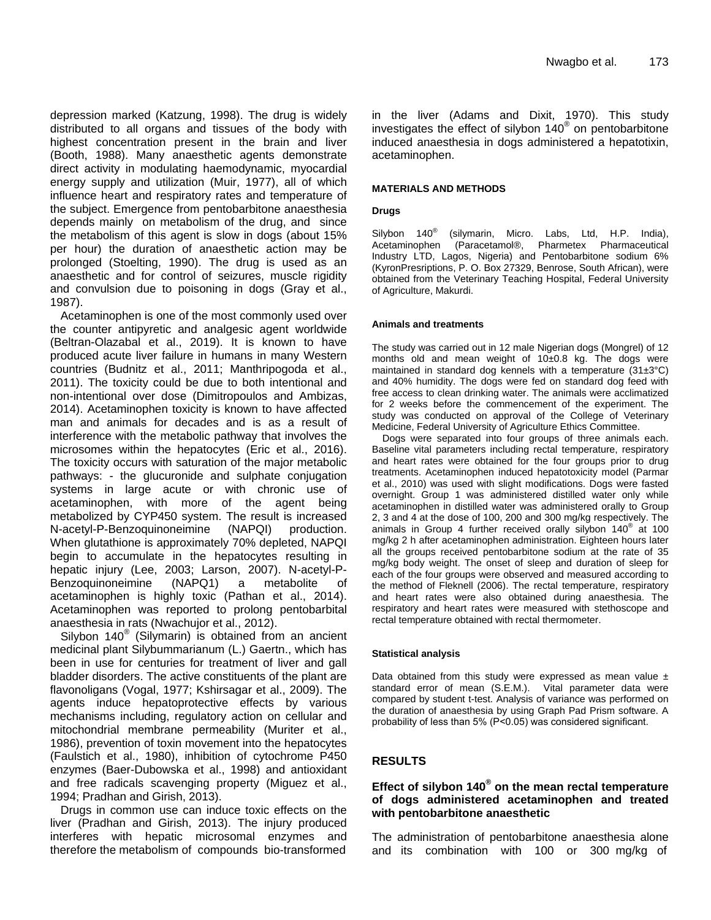depression marked (Katzung, 1998). The drug is widely distributed to all organs and tissues of the body with highest concentration present in the brain and liver (Booth, 1988). Many anaesthetic agents demonstrate direct activity in modulating haemodynamic, myocardial energy supply and utilization (Muir, 1977), all of which influence heart and respiratory rates and temperature of the subject. Emergence from pentobarbitone anaesthesia depends mainly on metabolism of the drug, and since the metabolism of this agent is slow in dogs (about 15% per hour) the duration of anaesthetic action may be prolonged (Stoelting, 1990). The drug is used as an anaesthetic and for control of seizures, muscle rigidity and convulsion due to poisoning in dogs (Gray et al., 1987).

Acetaminophen is one of the most commonly used over the counter antipyretic and analgesic agent worldwide (Beltran-Olazabal et al., 2019). It is known to have produced acute liver failure in humans in many Western countries (Budnitz et al., 2011; Manthripogoda et al., 2011). The toxicity could be due to both intentional and non-intentional over dose (Dimitropoulos and Ambizas, 2014). Acetaminophen toxicity is known to have affected man and animals for decades and is as a result of interference with the metabolic pathway that involves the microsomes within the hepatocytes (Eric et al., 2016). The toxicity occurs with saturation of the major metabolic pathways: - the glucuronide and sulphate conjugation systems in large acute or with chronic use of acetaminophen, with more of the agent being metabolized by CYP450 system. The result is increased N-acetyl-P-Benzoquinoneimine (NAPQI) production. When glutathione is approximately 70% depleted, NAPQI begin to accumulate in the hepatocytes resulting in hepatic injury (Lee, 2003; Larson, 2007). N-acetyl-P-Benzoquinoneimine (NAPQ1) a metabolite of acetaminophen is highly toxic (Pathan et al., 2014). Acetaminophen was reported to prolong pentobarbital anaesthesia in rats (Nwachujor et al., 2012).

Silybon 140® (Silymarin) is obtained from an ancient medicinal plant Silybummarianum (L.) Gaertn., which has been in use for centuries for treatment of liver and gall bladder disorders. The active constituents of the plant are flavonoligans (Vogal, 1977; Kshirsagar et al., 2009). The agents induce hepatoprotective effects by various mechanisms including, regulatory action on cellular and mitochondrial membrane permeability (Muriter et al., 1986), prevention of toxin movement into the hepatocytes (Faulstich et al., 1980), inhibition of cytochrome P450 enzymes (Baer-Dubowska et al., 1998) and antioxidant and free radicals scavenging property (Miguez et al., 1994; Pradhan and Girish, 2013).

Drugs in common use can induce toxic effects on the liver (Pradhan and Girish, 2013). The injury produced interferes with hepatic microsomal enzymes and therefore the metabolism of compounds bio-transformed in the liver (Adams and Dixit, 1970). This study investigates the effect of silybon  $140^\circ$  on pentobarbitone induced anaesthesia in dogs administered a hepatotixin, acetaminophen.

#### **MATERIALS AND METHODS**

#### **Drugs**

Silybon 140<sup>®</sup> (silymarin, Micro. Labs, Ltd, H.P. India),<br>Acetaminophen (Paracetamol®, Pharmetex Pharmaceutical (Paracetamol®, Pharmetex Pharmaceutical Industry LTD, Lagos, Nigeria) and Pentobarbitone sodium 6% (KyronPresriptions, P. O. Box 27329, Benrose, South African), were obtained from the Veterinary Teaching Hospital, Federal University of Agriculture, Makurdi.

#### **Animals and treatments**

The study was carried out in 12 male Nigerian dogs (Mongrel) of 12 months old and mean weight of 10±0.8 kg. The dogs were maintained in standard dog kennels with a temperature  $(31\pm3°C)$ and 40% humidity. The dogs were fed on standard dog feed with free access to clean drinking water. The animals were acclimatized for 2 weeks before the commencement of the experiment. The study was conducted on approval of the College of Veterinary Medicine, Federal University of Agriculture Ethics Committee.

Dogs were separated into four groups of three animals each. Baseline vital parameters including rectal temperature, respiratory and heart rates were obtained for the four groups prior to drug treatments. Acetaminophen induced hepatotoxicity model (Parmar et al., 2010) was used with slight modifications. Dogs were fasted overnight. Group 1 was administered distilled water only while acetaminophen in distilled water was administered orally to Group 2, 3 and 4 at the dose of 100, 200 and 300 mg/kg respectively. The animals in Group 4 further received orally silybon 140® at 100 mg/kg 2 h after acetaminophen administration. Eighteen hours later all the groups received pentobarbitone sodium at the rate of 35 mg/kg body weight. The onset of sleep and duration of sleep for each of the four groups were observed and measured according to the method of Fleknell (2006). The rectal temperature, respiratory and heart rates were also obtained during anaesthesia. The respiratory and heart rates were measured with stethoscope and rectal temperature obtained with rectal thermometer.

#### **Statistical analysis**

Data obtained from this study were expressed as mean value  $\pm$ standard error of mean (S.E.M.). Vital parameter data were compared by student t-test. Analysis of variance was performed on the duration of anaesthesia by using Graph Pad Prism software. A probability of less than 5% (P˂0.05) was considered significant.

#### **RESULTS**

## **Effect of silybon 140® on the mean rectal temperature of dogs administered acetaminophen and treated with pentobarbitone anaesthetic**

The administration of pentobarbitone anaesthesia alone and its combination with 100 or 300 mg/kg of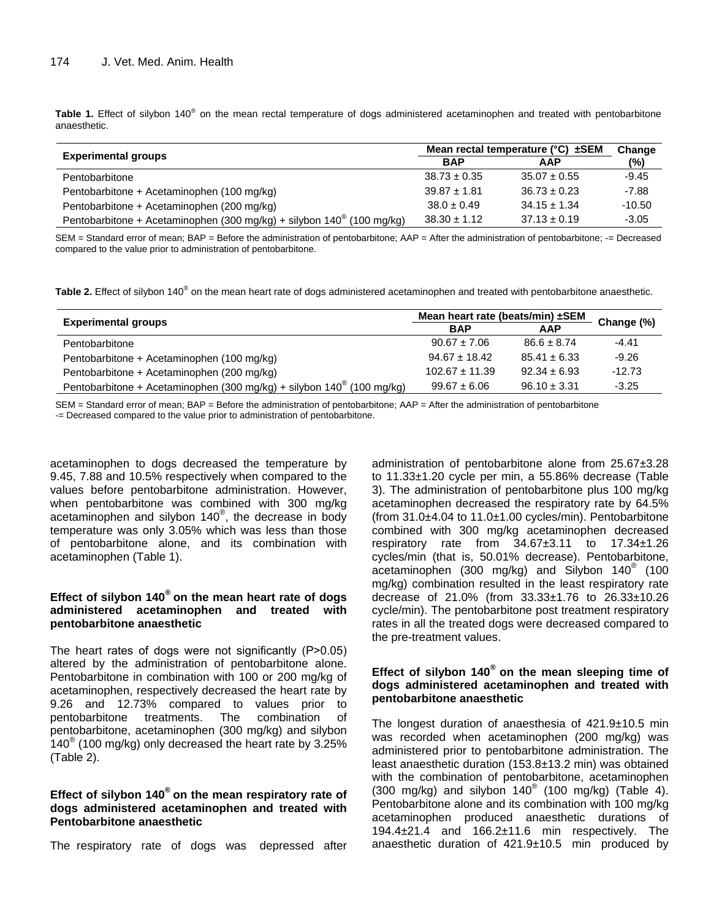Table 1. Effect of silybon 140<sup>®</sup> on the mean rectal temperature of dogs administered acetaminophen and treated with pentobarbitone anaesthetic.

| <b>Experimental groups</b>                                                     | Mean rectal temperature ( $^{\circ}$ C) $\pm$ SEM |                  | Change   |
|--------------------------------------------------------------------------------|---------------------------------------------------|------------------|----------|
|                                                                                | <b>BAP</b>                                        | <b>AAP</b>       | (%)      |
| Pentobarbitone                                                                 | $38.73 \pm 0.35$                                  | $35.07 \pm 0.55$ | $-9.45$  |
| Pentobarbitone + Acetaminophen (100 mg/kg)                                     | $39.87 \pm 1.81$                                  | $36.73 \pm 0.23$ | $-7.88$  |
| Pentobarbitone + Acetaminophen (200 mg/kg)                                     | $38.0 \pm 0.49$                                   | $34.15 \pm 1.34$ | $-10.50$ |
| Pentobarbitone + Acetaminophen (300 mg/kg) + silybon $140^{\circ}$ (100 mg/kg) | $38.30 \pm 1.12$                                  | $37.13 \pm 0.19$ | $-3.05$  |

SEM = Standard error of mean; BAP = Before the administration of pentobarbitone; AAP = After the administration of pentobarbitone; -= Decreased compared to the value prior to administration of pentobarbitone.

Table 2. Effect of silybon 140<sup>®</sup> on the mean heart rate of dogs administered acetaminophen and treated with pentobarbitone anaesthetic.

| <b>Experimental groups</b>                                                     | Mean heart rate (beats/min) ±SEM |                  | Change (%) |
|--------------------------------------------------------------------------------|----------------------------------|------------------|------------|
|                                                                                | <b>BAP</b>                       | <b>AAP</b>       |            |
| Pentobarbitone                                                                 | $90.67 \pm 7.06$                 | $86.6 \pm 8.74$  | $-4.41$    |
| Pentobarbitone + Acetaminophen (100 mg/kg)                                     | $94.67 \pm 18.42$                | $85.41 \pm 6.33$ | $-9.26$    |
| Pentobarbitone + Acetaminophen (200 mg/kg)                                     | $102.67 \pm 11.39$               | $92.34 \pm 6.93$ | $-12.73$   |
| Pentobarbitone + Acetaminophen (300 mg/kg) + silybon $140^{\circ}$ (100 mg/kg) | $99.67 \pm 6.06$                 | $96.10 \pm 3.31$ | $-3.25$    |

SEM = Standard error of mean; BAP = Before the administration of pentobarbitone; AAP = After the administration of pentobarbitone -= Decreased compared to the value prior to administration of pentobarbitone.

acetaminophen to dogs decreased the temperature by 9.45, 7.88 and 10.5% respectively when compared to the values before pentobarbitone administration. However, when pentobarbitone was combined with 300 mg/kg acetaminophen and silybon 140® , the decrease in body temperature was only 3.05% which was less than those of pentobarbitone alone, and its combination with acetaminophen (Table 1).

# **Effect of silybon 140® on the mean heart rate of dogs administered acetaminophen and treated with pentobarbitone anaesthetic**

The heart rates of dogs were not significantly (P˃0.05) altered by the administration of pentobarbitone alone. Pentobarbitone in combination with 100 or 200 mg/kg of acetaminophen, respectively decreased the heart rate by 9.26 and 12.73% compared to values prior to pentobarbitone treatments. The combination of pentobarbitone, acetaminophen (300 mg/kg) and silybon 140 $^{\circ}$  (100 mg/kg) only decreased the heart rate by 3.25% (Table 2).

# **Effect of silybon 140® on the mean respiratory rate of dogs administered acetaminophen and treated with Pentobarbitone anaesthetic**

The respiratory rate of dogs was depressed after

administration of pentobarbitone alone from 25.67±3.28 to 11.33±1.20 cycle per min, a 55.86% decrease (Table 3). The administration of pentobarbitone plus 100 mg/kg acetaminophen decreased the respiratory rate by 64.5% (from 31.0±4.04 to 11.0±1.00 cycles/min). Pentobarbitone combined with 300 mg/kg acetaminophen decreased respiratory rate from 34.67±3.11 to 17.34±1.26 cycles/min (that is, 50.01% decrease). Pentobarbitone, acetaminophen (300 mg/kg) and Silybon  $140^{\circ}$  (100 mg/kg) combination resulted in the least respiratory rate decrease of 21.0% (from 33.33±1.76 to 26.33±10.26 cycle/min). The pentobarbitone post treatment respiratory rates in all the treated dogs were decreased compared to the pre-treatment values.

## **Effect of silybon 140® on the mean sleeping time of dogs administered acetaminophen and treated with pentobarbitone anaesthetic**

The longest duration of anaesthesia of 421.9±10.5 min was recorded when acetaminophen (200 mg/kg) was administered prior to pentobarbitone administration. The least anaesthetic duration (153.8±13.2 min) was obtained with the combination of pentobarbitone, acetaminophen (300 mg/kg) and silybon  $140^{\circ}$  (100 mg/kg) (Table 4). Pentobarbitone alone and its combination with 100 mg/kg acetaminophen produced anaesthetic durations of 194.4±21.4 and 166.2±11.6 min respectively. The anaesthetic duration of 421.9±10.5 min produced by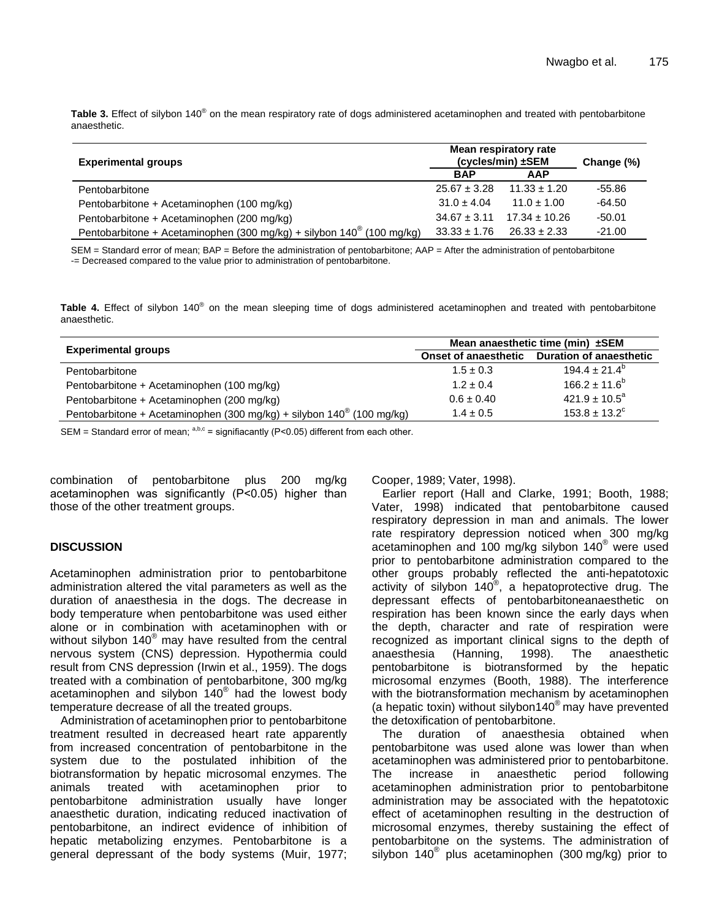**Table 3.** Effect of silybon 140® on the mean respiratory rate of dogs administered acetaminophen and treated with pentobarbitone anaesthetic.

| <b>Experimental groups</b>                                                        | Mean respiratory rate<br>(cycles/min) ±SEM |                  | Change (%) |
|-----------------------------------------------------------------------------------|--------------------------------------------|------------------|------------|
|                                                                                   | <b>BAP</b>                                 | <b>AAP</b>       |            |
| Pentobarbitone                                                                    | $25.67 \pm 3.28$                           | $11.33 \pm 1.20$ | -55.86     |
| Pentobarbitone + Acetaminophen (100 mg/kg)                                        | $31.0 \pm 4.04$                            | $11.0 \pm 1.00$  | $-64.50$   |
| Pentobarbitone + Acetaminophen (200 mg/kg)                                        | $34.67 \pm 3.11$                           | $17.34 + 10.26$  | $-50.01$   |
| Pentobarbitone + Acetaminophen (300 mg/kg) + silybon 140 <sup>®</sup> (100 mg/kg) | $33.33 \pm 1.76$                           | $26.33 \pm 2.33$ | $-21.00$   |

SEM = Standard error of mean; BAP = Before the administration of pentobarbitone; AAP = After the administration of pentobarbitone -= Decreased compared to the value prior to administration of pentobarbitone.

**Table 4.** Effect of silybon 140® on the mean sleeping time of dogs administered acetaminophen and treated with pentobarbitone anaesthetic.

| <b>Experimental groups</b>                                                     | Mean anaesthetic time (min) $±SEM$ |                                |  |
|--------------------------------------------------------------------------------|------------------------------------|--------------------------------|--|
|                                                                                | <b>Onset of anaesthetic</b>        | <b>Duration of anaesthetic</b> |  |
| Pentobarbitone                                                                 | $1.5 \pm 0.3$                      | $194.4 \pm 21.4^{\circ}$       |  |
| Pentobarbitone + Acetaminophen (100 mg/kg)                                     | $1.2 \pm 0.4$                      | $166.2 \pm 11.6^b$             |  |
| Pentobarbitone + Acetaminophen (200 mg/kg)                                     | $0.6 \pm 0.40$                     | $421.9 \pm 10.5^a$             |  |
| Pentobarbitone + Acetaminophen (300 mg/kg) + silybon $140^{\circ}$ (100 mg/kg) | $1.4 \pm 0.5$                      | $153.8 \pm 13.2^{\circ}$       |  |

SEM = Standard error of mean;  $a,b,c =$  signifiacantly (P<0.05) different from each other.

combination of pentobarbitone plus 200 mg/kg acetaminophen was significantly (P˂0.05) higher than those of the other treatment groups.

## **DISCUSSION**

Acetaminophen administration prior to pentobarbitone administration altered the vital parameters as well as the duration of anaesthesia in the dogs. The decrease in body temperature when pentobarbitone was used either alone or in combination with acetaminophen with or without silybon 140<sup>®</sup> may have resulted from the central nervous system (CNS) depression. Hypothermia could result from CNS depression (Irwin et al., 1959). The dogs treated with a combination of pentobarbitone, 300 mg/kg acetaminophen and silybon 140® had the lowest body temperature decrease of all the treated groups.

Administration of acetaminophen prior to pentobarbitone treatment resulted in decreased heart rate apparently from increased concentration of pentobarbitone in the system due to the postulated inhibition of the biotransformation by hepatic microsomal enzymes. The animals treated with acetaminophen prior to animals treated with acetaminophen prior to pentobarbitone administration usually have longer anaesthetic duration, indicating reduced inactivation of pentobarbitone, an indirect evidence of inhibition of hepatic metabolizing enzymes. Pentobarbitone is a general depressant of the body systems (Muir, 1977; Cooper, 1989; Vater, 1998).

Earlier report (Hall and Clarke, 1991; Booth, 1988; Vater, 1998) indicated that pentobarbitone caused respiratory depression in man and animals. The lower rate respiratory depression noticed when 300 mg/kg acetaminophen and 100 mg/kg silybon 140® were used prior to pentobarbitone administration compared to the other groups probably reflected the anti-hepatotoxic activity of silybon 140® , a hepatoprotective drug. The depressant effects of pentobarbitoneanaesthetic on respiration has been known since the early days when the depth, character and rate of respiration were recognized as important clinical signs to the depth of anaesthetic<br>anaesthesia (Hanning. 1998). The anaesthetic anaesthesia (Hanning, 1998). The anaesthetic pentobarbitone is biotransformed by the hepatic microsomal enzymes (Booth, 1988). The interference with the biotransformation mechanism by acetaminophen (a hepatic toxin) without silybon140 $^{\circ}$  may have prevented the detoxification of pentobarbitone.<br>The duration of anaesthesi

duration of anaesthesia obtained when pentobarbitone was used alone was lower than when acetaminophen was administered prior to pentobarbitone. The increase in anaesthetic period following acetaminophen administration prior to pentobarbitone administration may be associated with the hepatotoxic effect of acetaminophen resulting in the destruction of microsomal enzymes, thereby sustaining the effect of pentobarbitone on the systems. The administration of silybon 140<sup>®</sup> plus acetaminophen (300 mg/kg) prior to